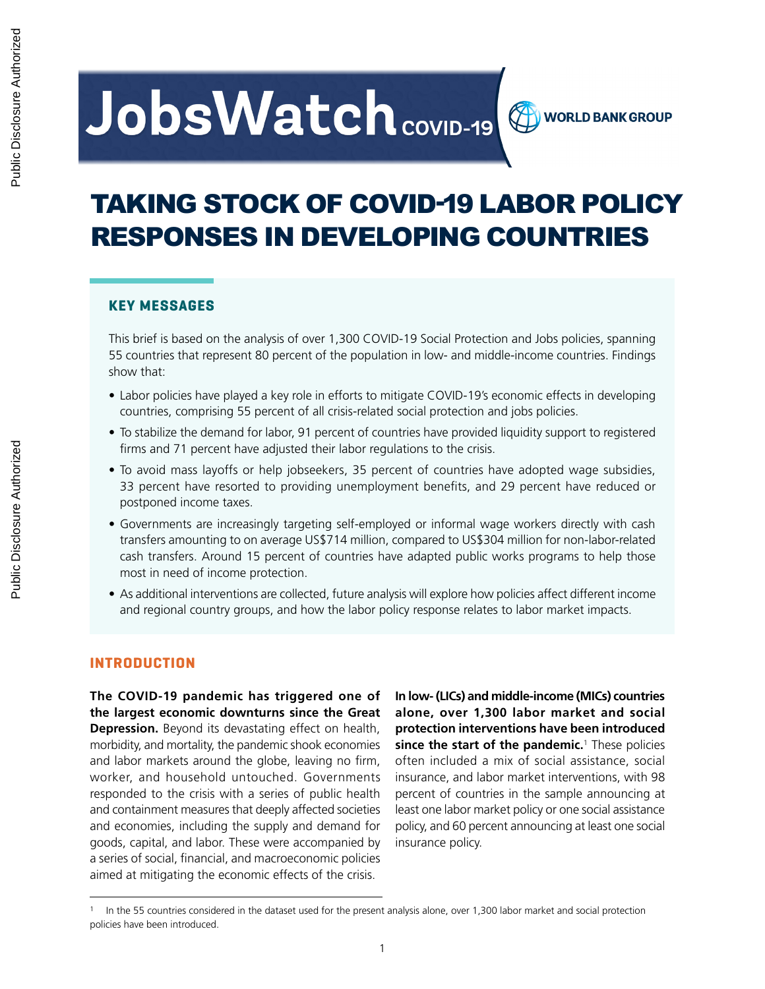# **JobsWatch** covid-19

# TAKING STOCK OF COVID-19 LABOR POLICY RESPONSES IN DEVELOPING COUNTRIES

#### **KEY MESSAGES**

This brief is based on the analysis of over 1,300 COVID-19 Social Protection and Jobs policies, spanning 55 countries that represent 80 percent of the population in low- and middle-income countries. Findings show that:

- Labor policies have played a key role in efforts to mitigate COVID-19's economic effects in developing countries, comprising 55 percent of all crisis-related social protection and jobs policies.
- To stabilize the demand for labor, 91 percent of countries have provided liquidity support to registered firms and 71 percent have adjusted their labor regulations to the crisis.
- To avoid mass layoffs or help jobseekers, 35 percent of countries have adopted wage subsidies, 33 percent have resorted to providing unemployment benefits, and 29 percent have reduced or postponed income taxes.
- Governments are increasingly targeting self-employed or informal wage workers directly with cash transfers amounting to on average US\$714 million, compared to US\$304 million for non-labor-related cash transfers. Around 15 percent of countries have adapted public works programs to help those most in need of income protection.
- As additional interventions are collected, future analysis will explore how policies affect different income and regional country groups, and how the labor policy response relates to labor market impacts.

#### **INTRODUCTION**

**The COVID-19 pandemic has triggered one of the largest economic downturns since the Great Depression.** Beyond its devastating effect on health, morbidity, and mortality, the pandemic shook economies and labor markets around the globe, leaving no firm, worker, and household untouched. Governments responded to the crisis with a series of public health and containment measures that deeply affected societies and economies, including the supply and demand for goods, capital, and labor. These were accompanied by a series of social, financial, and macroeconomic policies aimed at mitigating the economic effects of the crisis.

**In low- (LICs) and middle-income (MICs) countries alone, over 1,300 labor market and social protection interventions have been introduced since the start of the pandemic.**<sup>1</sup> These policies often included a mix of social assistance, social insurance, and labor market interventions, with 98 percent of countries in the sample announcing at least one labor market policy or one social assistance policy, and 60 percent announcing at least one social insurance policy.

**WORLD BANK GROUP** 

In the 55 countries considered in the dataset used for the present analysis alone, over 1,300 labor market and social protection policies have been introduced.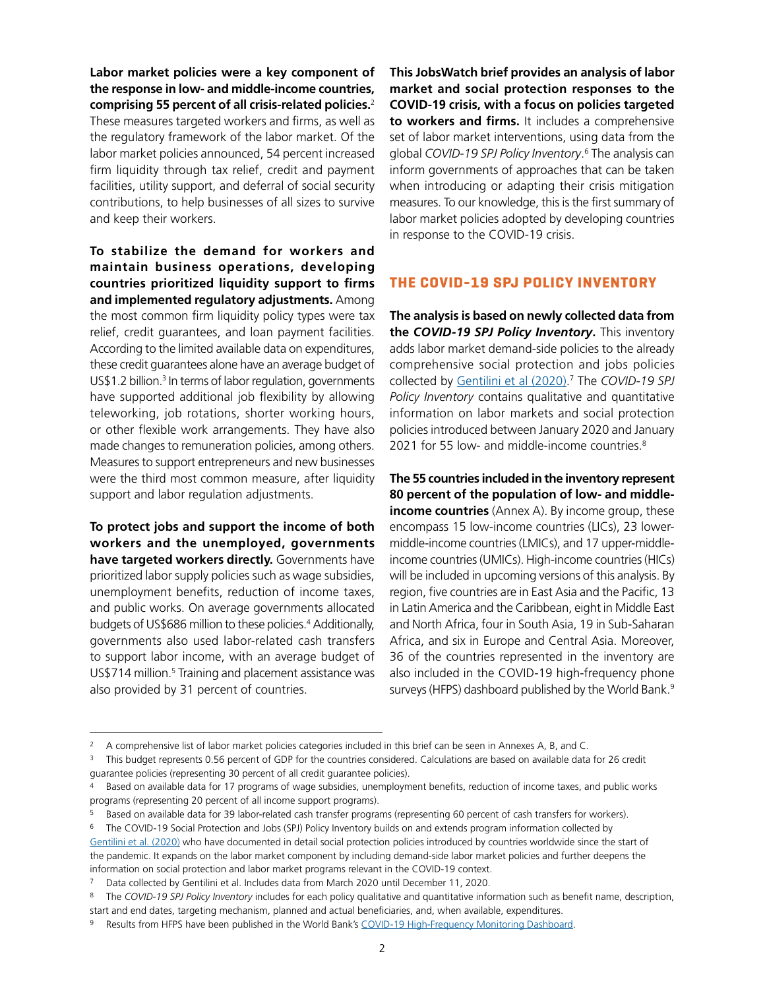**Labor market policies were a key component of the response in low- and middle-income countries, comprising 55 percent of all crisis-related policies.**<sup>2</sup> These measures targeted workers and firms, as well as the regulatory framework of the labor market. Of the labor market policies announced, 54 percent increased firm liquidity through tax relief, credit and payment facilities, utility support, and deferral of social security contributions, to help businesses of all sizes to survive and keep their workers.

**To stabilize the demand for workers and maintain business operations, developing countries prioritized liquidity support to firms and implemented regulatory adjustments.** Among the most common firm liquidity policy types were tax relief, credit guarantees, and loan payment facilities. According to the limited available data on expenditures, these credit guarantees alone have an average budget of US\$1.2 billion.<sup>3</sup> In terms of labor regulation, governments have supported additional job flexibility by allowing teleworking, job rotations, shorter working hours, or other flexible work arrangements. They have also made changes to remuneration policies, among others. Measures to support entrepreneurs and new businesses were the third most common measure, after liquidity support and labor regulation adjustments.

**To protect jobs and support the income of both workers and the unemployed, governments have targeted workers directly.** Governments have prioritized labor supply policies such as wage subsidies, unemployment benefits, reduction of income taxes, and public works. On average governments allocated budgets of US\$686 million to these policies.4 Additionally, governments also used labor-related cash transfers to support labor income, with an average budget of US\$714 million.<sup>5</sup> Training and placement assistance was also provided by 31 percent of countries.

**This JobsWatch brief provides an analysis of labor market and social protection responses to the COVID-19 crisis, with a focus on policies targeted to workers and firms.** It includes a comprehensive set of labor market interventions, using data from the global *COVID-19 SPJ Policy Inventory*. 6 The analysis can inform governments of approaches that can be taken when introducing or adapting their crisis mitigation measures. To our knowledge, this is the first summary of labor market policies adopted by developing countries in response to the COVID-19 crisis.

#### **THE COVID-19 SPJ POLICY INVENTORY**

**The analysis is based on newly collected data from the** *COVID-19 SPJ Policy Inventory***.** This inventory adds labor market demand-side policies to the already comprehensive social protection and jobs policies collected by [Gentilini et al \(2020\)](https://openknowledge.worldbank.org/bitstream/handle/10986/33635/Social-Protection-and-Jobs-Responses-to-COVID-19-A-Real-Time-Review-of-Country-Measures-December-11-2020.pdf?sequence=23&isAllowed=y). 7 The *COVID-19 SPJ Policy Inventory* contains qualitative and quantitative information on labor markets and social protection policies introduced between January 2020 and January 2021 for 55 low- and middle-income countries.<sup>8</sup>

**The 55 countries included in the inventory represent 80 percent of the population of low- and middleincome countries** (Annex A). By income group, these encompass 15 low-income countries (LICs), 23 lowermiddle-income countries (LMICs), and 17 upper-middleincome countries (UMICs). High-income countries (HICs) will be included in upcoming versions of this analysis. By region, five countries are in East Asia and the Pacific, 13 in Latin America and the Caribbean, eight in Middle East and North Africa, four in South Asia, 19 in Sub-Saharan Africa, and six in Europe and Central Asia. Moreover, 36 of the countries represented in the inventory are also included in the COVID-19 high-frequency phone surveys (HFPS) dashboard published by the World Bank.<sup>9</sup>

<sup>&</sup>lt;sup>2</sup> A comprehensive list of labor market policies categories included in this brief can be seen in Annexes A, B, and C.

<sup>3</sup> This budget represents 0.56 percent of GDP for the countries considered. Calculations are based on available data for 26 credit guarantee policies (representing 30 percent of all credit guarantee policies).

<sup>4</sup> Based on available data for 17 programs of wage subsidies, unemployment benefits, reduction of income taxes, and public works programs (representing 20 percent of all income support programs).

<sup>5</sup> Based on available data for 39 labor-related cash transfer programs (representing 60 percent of cash transfers for workers).

<sup>6</sup> The COVID-19 Social Protection and Jobs (SPJ) Policy Inventory builds on and extends program information collected by [Gentilini et al. \(2020\)](https://openknowledge.worldbank.org/handle/10986/33635) who have documented in detail social protection policies introduced by countries worldwide since the start of the pandemic. It expands on the labor market component by including demand-side labor market policies and further deepens the information on social protection and labor market programs relevant in the COVID-19 context.

Data collected by Gentilini et al. Includes data from March 2020 until December 11, 2020.

<sup>8</sup> The *COVID-19 SPJ Policy Inventory* includes for each policy qualitative and quantitative information such as benefit name, description, start and end dates, targeting mechanism, planned and actual beneficiaries, and, when available, expenditures.

Results from HFPS have been published in the World Bank's [COVID-19 High-Frequency Monitoring Dashboard.](https://www.worldbank.org/en/data/interactive/2020/11/11/covid-19-high-frequency-monitoring-dashboard)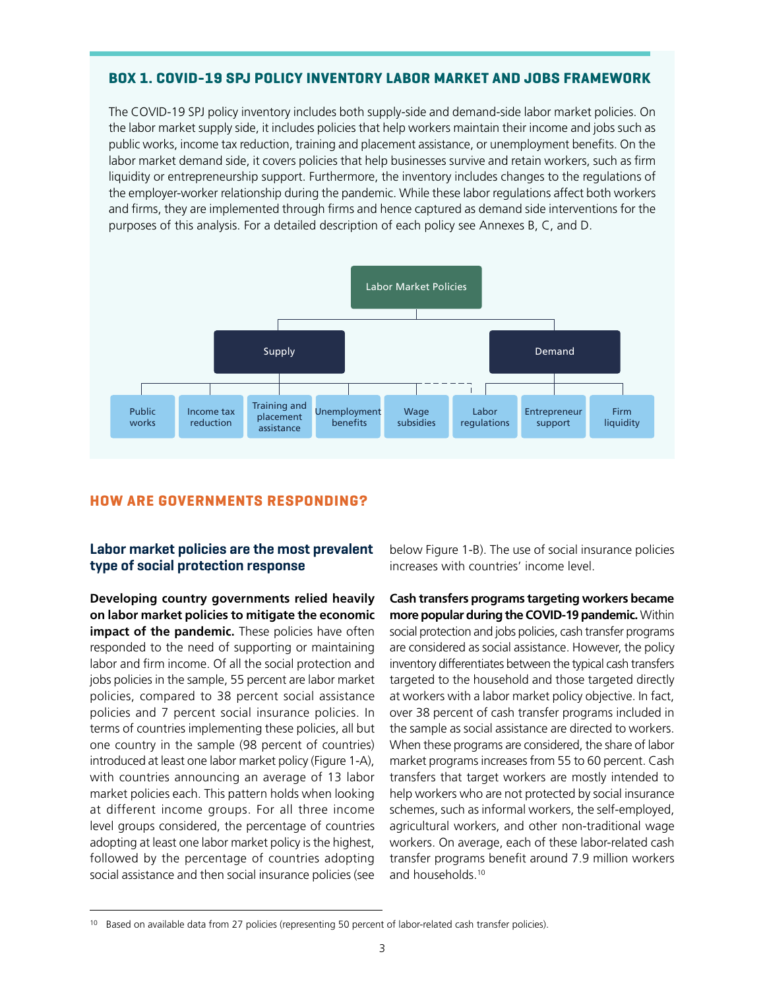#### **BOX 1. COVID-19 SPJ POLICY INVENTORY LABOR MARKET AND JOBS FRAMEWORK**

The COVID-19 SPJ policy inventory includes both supply-side and demand-side labor market policies. On the labor market supply side, it includes policies that help workers maintain their income and jobs such as public works, income tax reduction, training and placement assistance, or unemployment benefits. On the labor market demand side, it covers policies that help businesses survive and retain workers, such as firm liquidity or entrepreneurship support. Furthermore, the inventory includes changes to the regulations of the employer-worker relationship during the pandemic. While these labor regulations affect both workers and firms, they are implemented through firms and hence captured as demand side interventions for the purposes of this analysis. For a detailed description of each policy see Annexes B, C, and D.



#### **HOW ARE GOVERNMENTS RESPONDING?**

#### **Labor market policies are the most prevalent type of social protection response**

**Developing country governments relied heavily on labor market policies to mitigate the economic impact of the pandemic.** These policies have often responded to the need of supporting or maintaining labor and firm income. Of all the social protection and jobs policies in the sample, 55 percent are labor market policies, compared to 38 percent social assistance policies and 7 percent social insurance policies. In terms of countries implementing these policies, all but one country in the sample (98 percent of countries) introduced at least one labor market policy (Figure 1-A), with countries announcing an average of 13 labor market policies each. This pattern holds when looking at different income groups. For all three income level groups considered, the percentage of countries adopting at least one labor market policy is the highest, followed by the percentage of countries adopting social assistance and then social insurance policies (see

below Figure 1-B). The use of social insurance policies increases with countries' income level.

**Cash transfers programs targeting workers became more popular during the COVID-19 pandemic.** Within social protection and jobs policies, cash transfer programs are considered as social assistance. However, the policy inventory differentiates between the typical cash transfers targeted to the household and those targeted directly at workers with a labor market policy objective. In fact, over 38 percent of cash transfer programs included in the sample as social assistance are directed to workers. When these programs are considered, the share of labor market programs increases from 55 to 60 percent. Cash transfers that target workers are mostly intended to help workers who are not protected by social insurance schemes, such as informal workers, the self-employed, agricultural workers, and other non-traditional wage workers. On average, each of these labor-related cash transfer programs benefit around 7.9 million workers and households.10

<sup>10</sup> Based on available data from 27 policies (representing 50 percent of labor-related cash transfer policies).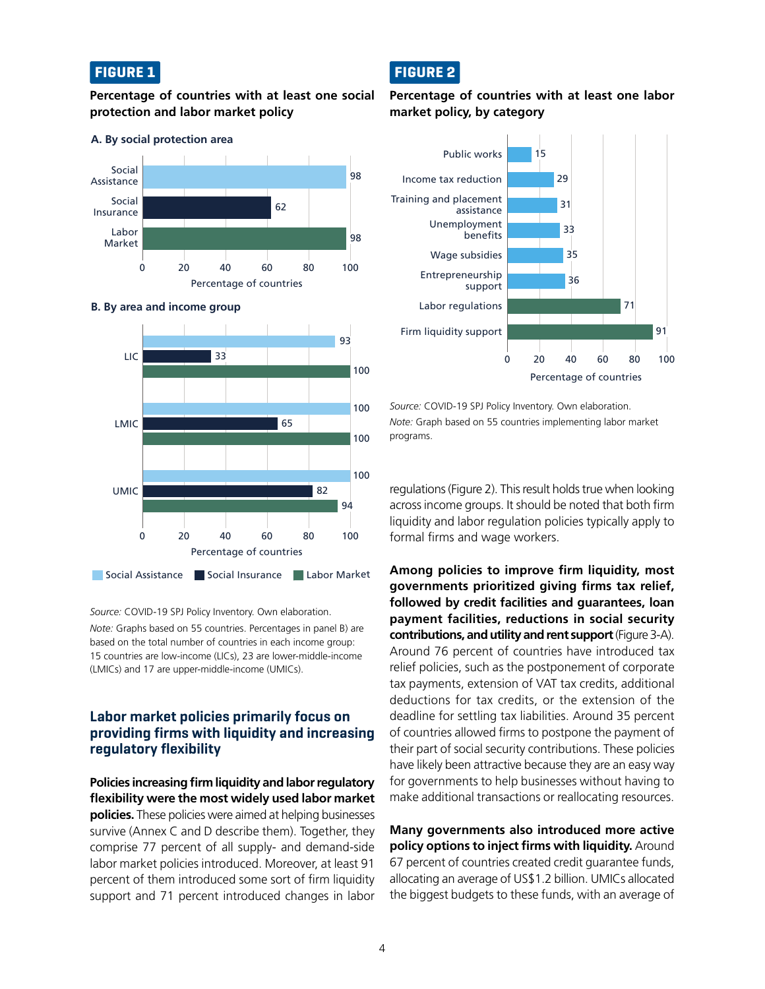#### **FIGURE 1**

#### **Percentage of countries with at least one social protection and labor market policy**

#### 0 20 40 60 80 100 Percentage of countries Labor Market Social Insurance Social Assistance 98 62 98



**B. By area and income group**

**A. By social protection area**

*Source:* COVID-19 SPJ Policy Inventory. Own elaboration.

*Note:* Graphs based on 55 countries. Percentages in panel B) are based on the total number of countries in each income group: 15 countries are low-income (LICs), 23 are lower-middle-income (LMICs) and 17 are upper-middle-income (UMICs).

#### **Labor market policies primarily focus on providing firms with liquidity and increasing regulatory flexibility**

**Policies increasing firm liquidity and labor regulatory flexibility were the most widely used labor market policies.** These policies were aimed at helping businesses survive (Annex C and D describe them). Together, they comprise 77 percent of all supply- and demand-side labor market policies introduced. Moreover, at least 91 percent of them introduced some sort of firm liquidity support and 71 percent introduced changes in labor

# **FIGURE 2**

#### **Percentage of countries with at least one labor market policy, by category**



*Source:* COVID-19 SPJ Policy Inventory. Own elaboration. *Note:* Graph based on 55 countries implementing labor market programs.

regulations (Figure 2). This result holds true when looking across income groups. It should be noted that both firm liquidity and labor regulation policies typically apply to formal firms and wage workers.

**Among policies to improve firm liquidity, most governments prioritized giving firms tax relief, followed by credit facilities and guarantees, loan payment facilities, reductions in social security contributions, and utility and rent support** (Figure 3-A). Around 76 percent of countries have introduced tax relief policies, such as the postponement of corporate tax payments, extension of VAT tax credits, additional deductions for tax credits, or the extension of the deadline for settling tax liabilities. Around 35 percent of countries allowed firms to postpone the payment of their part of social security contributions. These policies have likely been attractive because they are an easy way for governments to help businesses without having to make additional transactions or reallocating resources.

**Many governments also introduced more active policy options to inject firms with liquidity.** Around 67 percent of countries created credit guarantee funds, allocating an average of US\$1.2 billion. UMICs allocated the biggest budgets to these funds, with an average of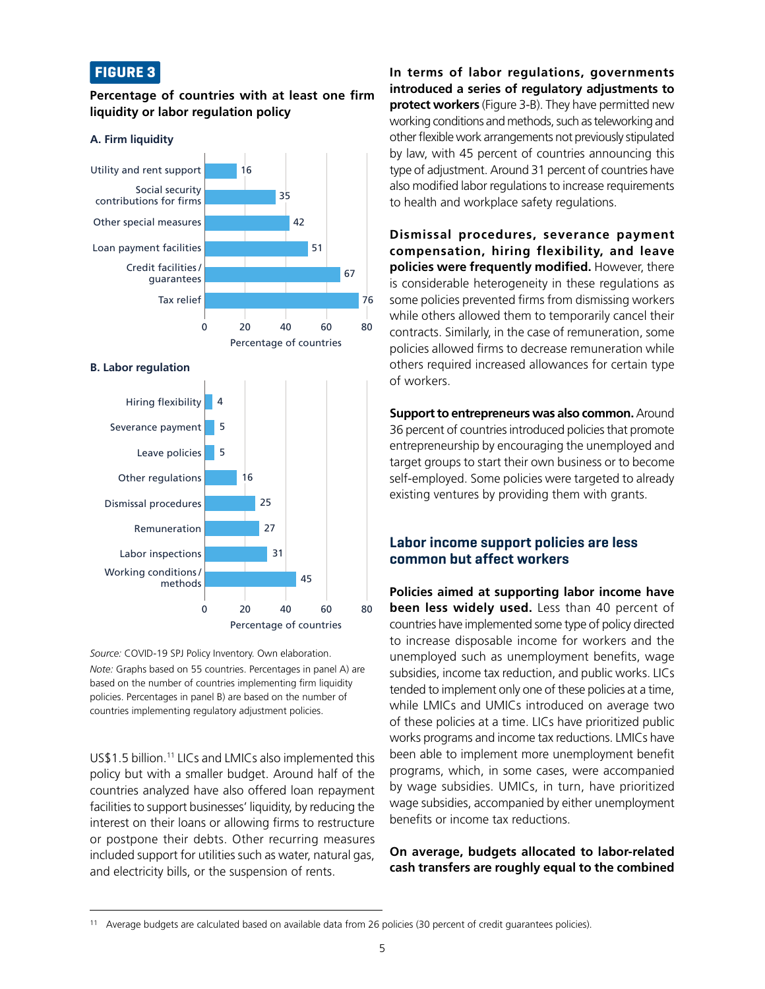#### **FIGURE 3**

#### **Percentage of countries with at least one firm liquidity or labor regulation policy**



#### **B. Labor regulation**



*Source:* COVID-19 SPJ Policy Inventory. Own elaboration. *Note:* Graphs based on 55 countries. Percentages in panel A) are based on the number of countries implementing firm liquidity policies. Percentages in panel B) are based on the number of countries implementing regulatory adjustment policies.

US\$1.5 billion.11 LICs and LMICs also implemented this policy but with a smaller budget. Around half of the countries analyzed have also offered loan repayment facilities to support businesses' liquidity, by reducing the interest on their loans or allowing firms to restructure or postpone their debts. Other recurring measures included support for utilities such as water, natural gas, and electricity bills, or the suspension of rents.

**In terms of labor regulations, governments introduced a series of regulatory adjustments to protect workers** (Figure 3-B). They have permitted new working conditions and methods, such as teleworking and other flexible work arrangements not previously stipulated by law, with 45 percent of countries announcing this type of adjustment. Around 31 percent of countries have also modified labor regulations to increase requirements to health and workplace safety regulations.

**Dismissal procedures, severance payment compensation, hiring flexibility, and leave policies were frequently modified.** However, there is considerable heterogeneity in these regulations as some policies prevented firms from dismissing workers while others allowed them to temporarily cancel their contracts. Similarly, in the case of remuneration, some policies allowed firms to decrease remuneration while others required increased allowances for certain type of workers.

**Support to entrepreneurs was also common.** Around 36 percent of countries introduced policies that promote entrepreneurship by encouraging the unemployed and target groups to start their own business or to become self-employed. Some policies were targeted to already existing ventures by providing them with grants.

#### **Labor income support policies are less common but affect workers**

**Policies aimed at supporting labor income have been less widely used.** Less than 40 percent of countries have implemented some type of policy directed to increase disposable income for workers and the unemployed such as unemployment benefits, wage subsidies, income tax reduction, and public works. LICs tended to implement only one of these policies at a time, while LMICs and UMICs introduced on average two of these policies at a time. LICs have prioritized public works programs and income tax reductions. LMICs have been able to implement more unemployment benefit programs, which, in some cases, were accompanied by wage subsidies. UMICs, in turn, have prioritized wage subsidies, accompanied by either unemployment benefits or income tax reductions.

#### **On average, budgets allocated to labor-related cash transfers are roughly equal to the combined**

<sup>11</sup> Average budgets are calculated based on available data from 26 policies (30 percent of credit guarantees policies).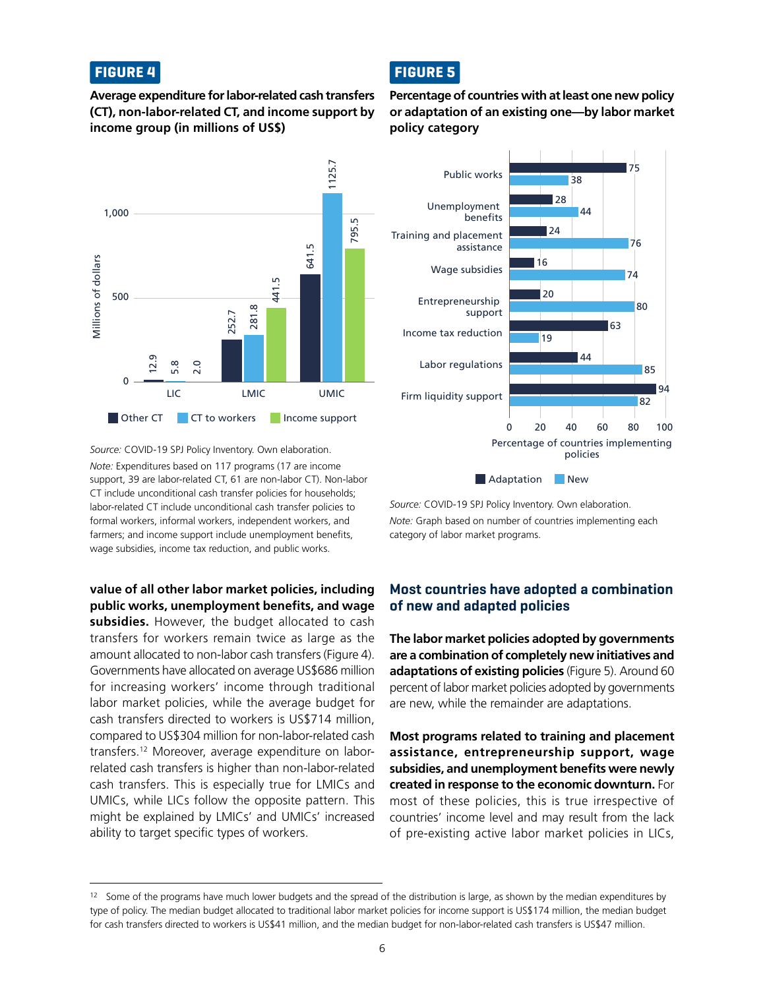#### **FIGURE 4**

**Average expenditure for labor-related cash transfers (CT), non-labor-related CT, and income support by income group (in millions of US\$)**



*Source:* COVID-19 SPJ Policy Inventory. Own elaboration. *Note:* Expenditures based on 117 programs (17 are income support, 39 are labor-related CT, 61 are non-labor CT). Non-labor CT include unconditional cash transfer policies for households; labor-related CT include unconditional cash transfer policies to formal workers, informal workers, independent workers, and farmers; and income support include unemployment benefits, wage subsidies, income tax reduction, and public works.

**value of all other labor market policies, including public works, unemployment benefits, and wage subsidies.** However, the budget allocated to cash transfers for workers remain twice as large as the amount allocated to non-labor cash transfers (Figure 4). Governments have allocated on average US\$686 million for increasing workers' income through traditional labor market policies, while the average budget for cash transfers directed to workers is US\$714 million, compared to US\$304 million for non-labor-related cash transfers.12 Moreover, average expenditure on laborrelated cash transfers is higher than non-labor-related cash transfers. This is especially true for LMICs and UMICs, while LICs follow the opposite pattern. This might be explained by LMICs' and UMICs' increased ability to target specific types of workers.

# **FIGURE 5**

**Percentage of countries with at least one new policy or adaptation of an existing one—by labor market policy category**



*Source:* COVID-19 SPJ Policy Inventory. Own elaboration. *Note:* Graph based on number of countries implementing each category of labor market programs.

#### **Most countries have adopted a combination of new and adapted policies**

**The labor market policies adopted by governments are a combination of completely new initiatives and adaptations of existing policies** (Figure 5). Around 60 percent of labor market policies adopted by governments are new, while the remainder are adaptations.

**Most programs related to training and placement assistance, entrepreneurship support, wage subsidies, and unemployment benefits were newly created in response to the economic downturn.** For most of these policies, this is true irrespective of countries' income level and may result from the lack of pre-existing active labor market policies in LICs,

 $12$  Some of the programs have much lower budgets and the spread of the distribution is large, as shown by the median expenditures by type of policy. The median budget allocated to traditional labor market policies for income support is US\$174 million, the median budget for cash transfers directed to workers is US\$41 million, and the median budget for non-labor-related cash transfers is US\$47 million.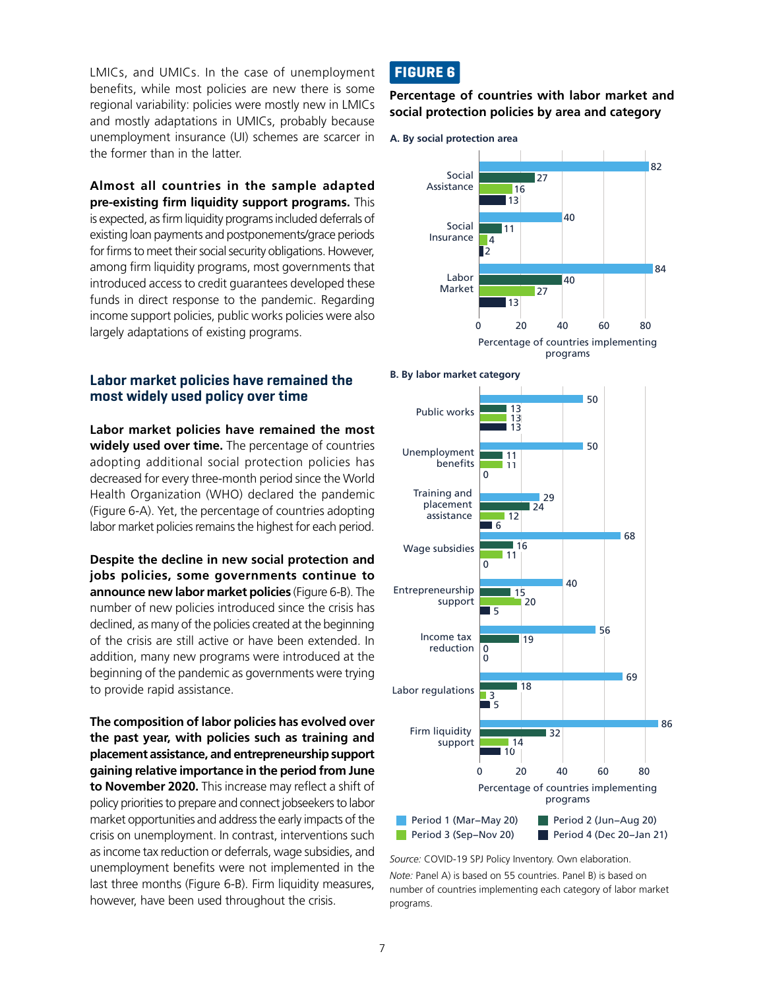LMICs, and UMICs. In the case of unemployment benefits, while most policies are new there is some regional variability: policies were mostly new in LMICs and mostly adaptations in UMICs, probably because unemployment insurance (UI) schemes are scarcer in the former than in the latter.

**Almost all countries in the sample adapted pre-existing firm liquidity support programs.** This is expected, as firm liquidity programs included deferrals of existing loan payments and postponements/grace periods for firms to meet their social security obligations. However, among firm liquidity programs, most governments that introduced access to credit guarantees developed these funds in direct response to the pandemic. Regarding income support policies, public works policies were also largely adaptations of existing programs.

#### **Labor market policies have remained the most widely used policy over time**

**Labor market policies have remained the most widely used over time.** The percentage of countries adopting additional social protection policies has decreased for every three-month period since the World Health Organization (WHO) declared the pandemic (Figure 6-A). Yet, the percentage of countries adopting labor market policies remains the highest for each period.

**Despite the decline in new social protection and jobs policies, some governments continue to announce new labor market policies** (Figure 6-B). The number of new policies introduced since the crisis has declined, as many of the policies created at the beginning of the crisis are still active or have been extended. In addition, many new programs were introduced at the beginning of the pandemic as governments were trying to provide rapid assistance.

**The composition of labor policies has evolved over the past year, with policies such as training and placement assistance, and entrepreneurship support gaining relative importance in the period from June to November 2020.** This increase may reflect a shift of policy priorities to prepare and connect jobseekers to labor market opportunities and address the early impacts of the crisis on unemployment. In contrast, interventions such as income tax reduction or deferrals, wage subsidies, and unemployment benefits were not implemented in the last three months (Figure 6-B). Firm liquidity measures, however, have been used throughout the crisis.

## **FIGURE 6**

**Percentage of countries with labor market and social protection policies by area and category**







*Source:* COVID-19 SPJ Policy Inventory. Own elaboration.

*Note:* Panel A) is based on 55 countries. Panel B) is based on number of countries implementing each category of labor market programs.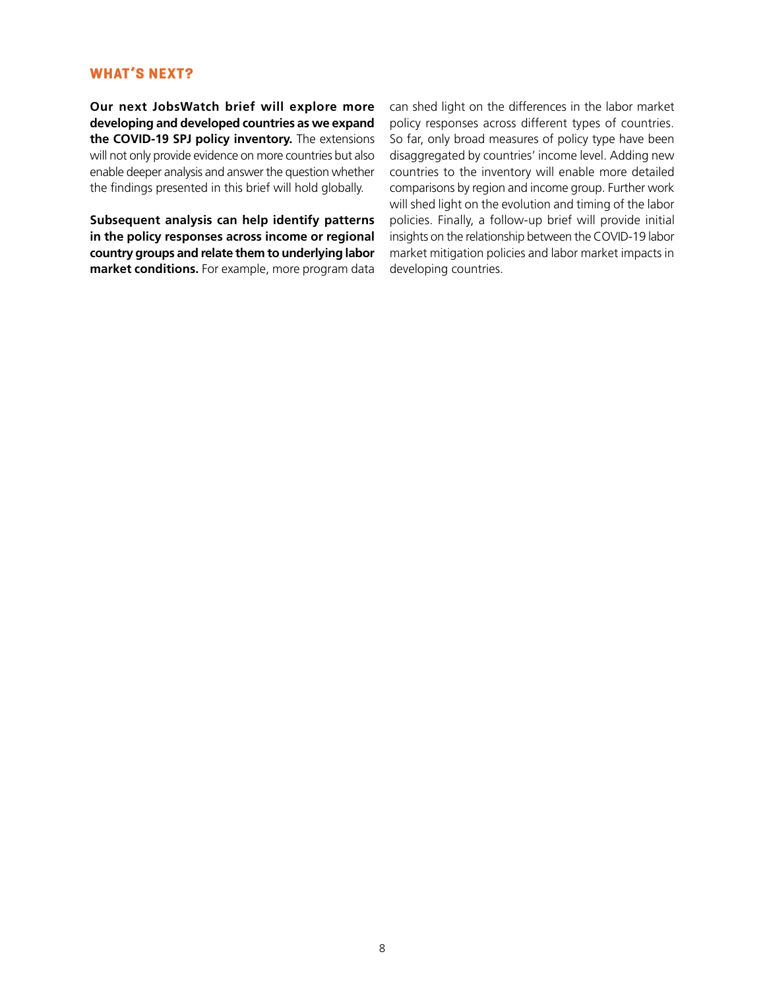#### **WHAT'S NEXT?**

**Our next JobsWatch brief will explore more developing and developed countries as we expand the COVID-19 SPJ policy inventory.** The extensions will not only provide evidence on more countries but also enable deeper analysis and answer the question whether the findings presented in this brief will hold globally.

**Subsequent analysis can help identify patterns in the policy responses across income or regional country groups and relate them to underlying labor market conditions.** For example, more program data can shed light on the differences in the labor market policy responses across different types of countries. So far, only broad measures of policy type have been disaggregated by countries' income level. Adding new countries to the inventory will enable more detailed comparisons by region and income group. Further work will shed light on the evolution and timing of the labor policies. Finally, a follow-up brief will provide initial insights on the relationship between the COVID-19 labor market mitigation policies and labor market impacts in developing countries.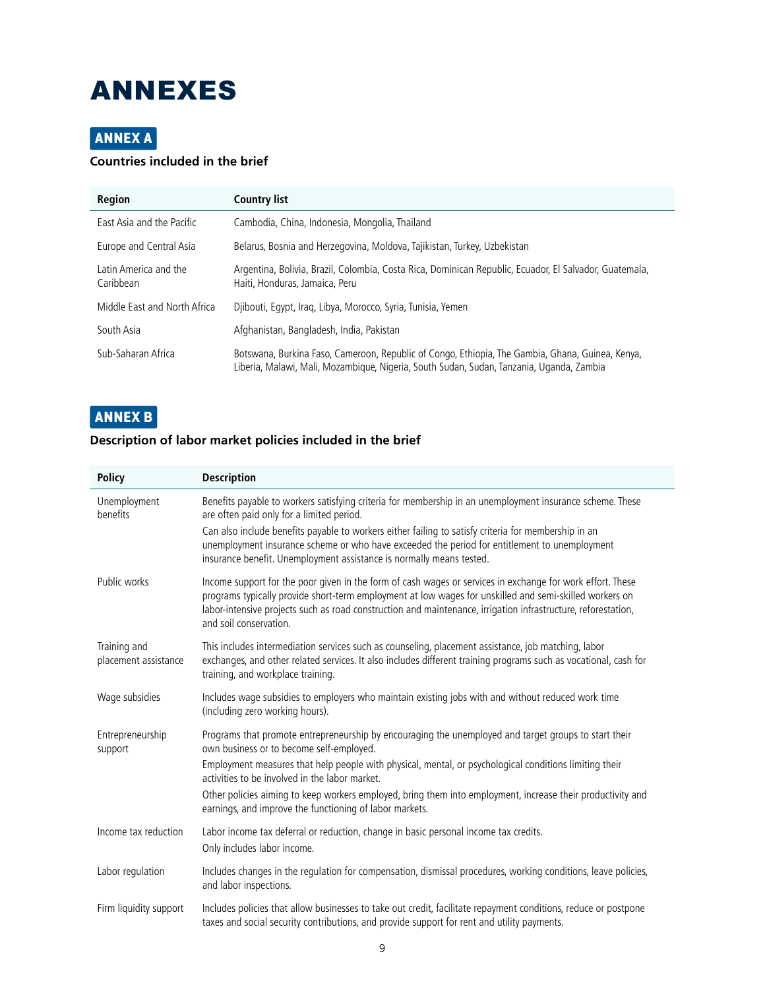# ANNEXES

# **ANNEX A**

### **Countries included in the brief**

| <b>Region</b>                      | <b>Country list</b>                                                                                                                                                                          |
|------------------------------------|----------------------------------------------------------------------------------------------------------------------------------------------------------------------------------------------|
| East Asia and the Pacific          | Cambodia, China, Indonesia, Mongolia, Thailand                                                                                                                                               |
| Europe and Central Asia            | Belarus, Bosnia and Herzegovina, Moldova, Tajikistan, Turkey, Uzbekistan                                                                                                                     |
| Latin America and the<br>Caribbean | Argentina, Bolivia, Brazil, Colombia, Costa Rica, Dominican Republic, Ecuador, El Salvador, Guatemala,<br>Haiti, Honduras, Jamaica, Peru                                                     |
| Middle East and North Africa       | Djibouti, Egypt, Iraq, Libya, Morocco, Syria, Tunisia, Yemen                                                                                                                                 |
| South Asia                         | Afghanistan, Bangladesh, India, Pakistan                                                                                                                                                     |
| Sub-Saharan Africa                 | Botswana, Burkina Faso, Cameroon, Republic of Congo, Ethiopia, The Gambia, Ghana, Guinea, Kenya,<br>Liberia, Malawi, Mali, Mozambique, Nigeria, South Sudan, Sudan, Tanzania, Uganda, Zambia |

# **ANNEX B**

#### **Description of labor market policies included in the brief**

| <b>Policy</b>                        | <b>Description</b>                                                                                                                                                                                                                                                                                                                                               |
|--------------------------------------|------------------------------------------------------------------------------------------------------------------------------------------------------------------------------------------------------------------------------------------------------------------------------------------------------------------------------------------------------------------|
| Unemployment<br>benefits             | Benefits payable to workers satisfying criteria for membership in an unemployment insurance scheme. These<br>are often paid only for a limited period.                                                                                                                                                                                                           |
|                                      | Can also include benefits payable to workers either failing to satisfy criteria for membership in an<br>unemployment insurance scheme or who have exceeded the period for entitlement to unemployment<br>insurance benefit. Unemployment assistance is normally means tested.                                                                                    |
| Public works                         | Income support for the poor given in the form of cash wages or services in exchange for work effort. These<br>programs typically provide short-term employment at low wages for unskilled and semi-skilled workers on<br>labor-intensive projects such as road construction and maintenance, irrigation infrastructure, reforestation,<br>and soil conservation. |
| Training and<br>placement assistance | This includes intermediation services such as counseling, placement assistance, job matching, labor<br>exchanges, and other related services. It also includes different training programs such as vocational, cash for<br>training, and workplace training.                                                                                                     |
| Wage subsidies                       | Includes wage subsidies to employers who maintain existing jobs with and without reduced work time<br>(including zero working hours).                                                                                                                                                                                                                            |
| Entrepreneurship<br>support          | Programs that promote entrepreneurship by encouraging the unemployed and target groups to start their<br>own business or to become self-employed.                                                                                                                                                                                                                |
|                                      | Employment measures that help people with physical, mental, or psychological conditions limiting their<br>activities to be involved in the labor market.                                                                                                                                                                                                         |
|                                      | Other policies aiming to keep workers employed, bring them into employment, increase their productivity and<br>earnings, and improve the functioning of labor markets.                                                                                                                                                                                           |
| Income tax reduction                 | Labor income tax deferral or reduction, change in basic personal income tax credits.<br>Only includes labor income.                                                                                                                                                                                                                                              |
| Labor regulation                     | Includes changes in the regulation for compensation, dismissal procedures, working conditions, leave policies,<br>and labor inspections.                                                                                                                                                                                                                         |
| Firm liquidity support               | Includes policies that allow businesses to take out credit, facilitate repayment conditions, reduce or postpone<br>taxes and social security contributions, and provide support for rent and utility payments.                                                                                                                                                   |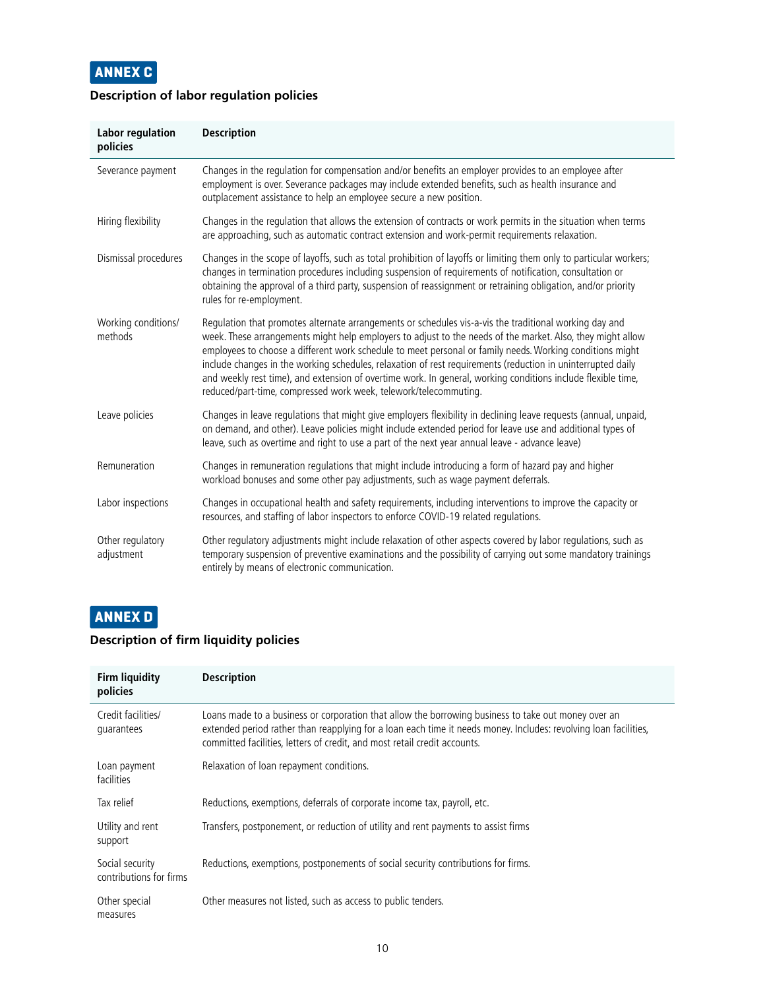

#### **Description of labor regulation policies**

| <b>Labor regulation</b><br>policies | <b>Description</b>                                                                                                                                                                                                                                                                                                                                                                                                                                                                                                                                                                                                                  |
|-------------------------------------|-------------------------------------------------------------------------------------------------------------------------------------------------------------------------------------------------------------------------------------------------------------------------------------------------------------------------------------------------------------------------------------------------------------------------------------------------------------------------------------------------------------------------------------------------------------------------------------------------------------------------------------|
| Severance payment                   | Changes in the regulation for compensation and/or benefits an employer provides to an employee after<br>employment is over. Severance packages may include extended benefits, such as health insurance and<br>outplacement assistance to help an employee secure a new position.                                                                                                                                                                                                                                                                                                                                                    |
| Hiring flexibility                  | Changes in the regulation that allows the extension of contracts or work permits in the situation when terms<br>are approaching, such as automatic contract extension and work-permit requirements relaxation.                                                                                                                                                                                                                                                                                                                                                                                                                      |
| Dismissal procedures                | Changes in the scope of layoffs, such as total prohibition of layoffs or limiting them only to particular workers;<br>changes in termination procedures including suspension of requirements of notification, consultation or<br>obtaining the approval of a third party, suspension of reassignment or retraining obligation, and/or priority<br>rules for re-employment.                                                                                                                                                                                                                                                          |
| Working conditions/<br>methods      | Regulation that promotes alternate arrangements or schedules vis-a-vis the traditional working day and<br>week. These arrangements might help employers to adjust to the needs of the market. Also, they might allow<br>employees to choose a different work schedule to meet personal or family needs. Working conditions might<br>include changes in the working schedules, relaxation of rest requirements (reduction in uninterrupted daily<br>and weekly rest time), and extension of overtime work. In general, working conditions include flexible time,<br>reduced/part-time, compressed work week, telework/telecommuting. |
| Leave policies                      | Changes in leave regulations that might give employers flexibility in declining leave requests (annual, unpaid,<br>on demand, and other). Leave policies might include extended period for leave use and additional types of<br>leave, such as overtime and right to use a part of the next year annual leave - advance leave)                                                                                                                                                                                                                                                                                                      |
| Remuneration                        | Changes in remuneration regulations that might include introducing a form of hazard pay and higher<br>workload bonuses and some other pay adjustments, such as wage payment deferrals.                                                                                                                                                                                                                                                                                                                                                                                                                                              |
| Labor inspections                   | Changes in occupational health and safety requirements, including interventions to improve the capacity or<br>resources, and staffing of labor inspectors to enforce COVID-19 related regulations.                                                                                                                                                                                                                                                                                                                                                                                                                                  |
| Other regulatory<br>adjustment      | Other regulatory adjustments might include relaxation of other aspects covered by labor regulations, such as<br>temporary suspension of preventive examinations and the possibility of carrying out some mandatory trainings<br>entirely by means of electronic communication.                                                                                                                                                                                                                                                                                                                                                      |

# **ANNEX D**

#### **Description of firm liquidity policies**

| <b>Firm liquidity</b><br>policies          | <b>Description</b>                                                                                                                                                                                                                                                                                   |
|--------------------------------------------|------------------------------------------------------------------------------------------------------------------------------------------------------------------------------------------------------------------------------------------------------------------------------------------------------|
| Credit facilities/<br>quarantees           | Loans made to a business or corporation that allow the borrowing business to take out money over an<br>extended period rather than reapplying for a loan each time it needs money. Includes: revolving loan facilities,<br>committed facilities, letters of credit, and most retail credit accounts. |
| Loan payment<br>facilities                 | Relaxation of loan repayment conditions.                                                                                                                                                                                                                                                             |
| Tax relief                                 | Reductions, exemptions, deferrals of corporate income tax, payroll, etc.                                                                                                                                                                                                                             |
| Utility and rent<br>support                | Transfers, postponement, or reduction of utility and rent payments to assist firms                                                                                                                                                                                                                   |
| Social security<br>contributions for firms | Reductions, exemptions, postponements of social security contributions for firms.                                                                                                                                                                                                                    |
| Other special<br>measures                  | Other measures not listed, such as access to public tenders.                                                                                                                                                                                                                                         |